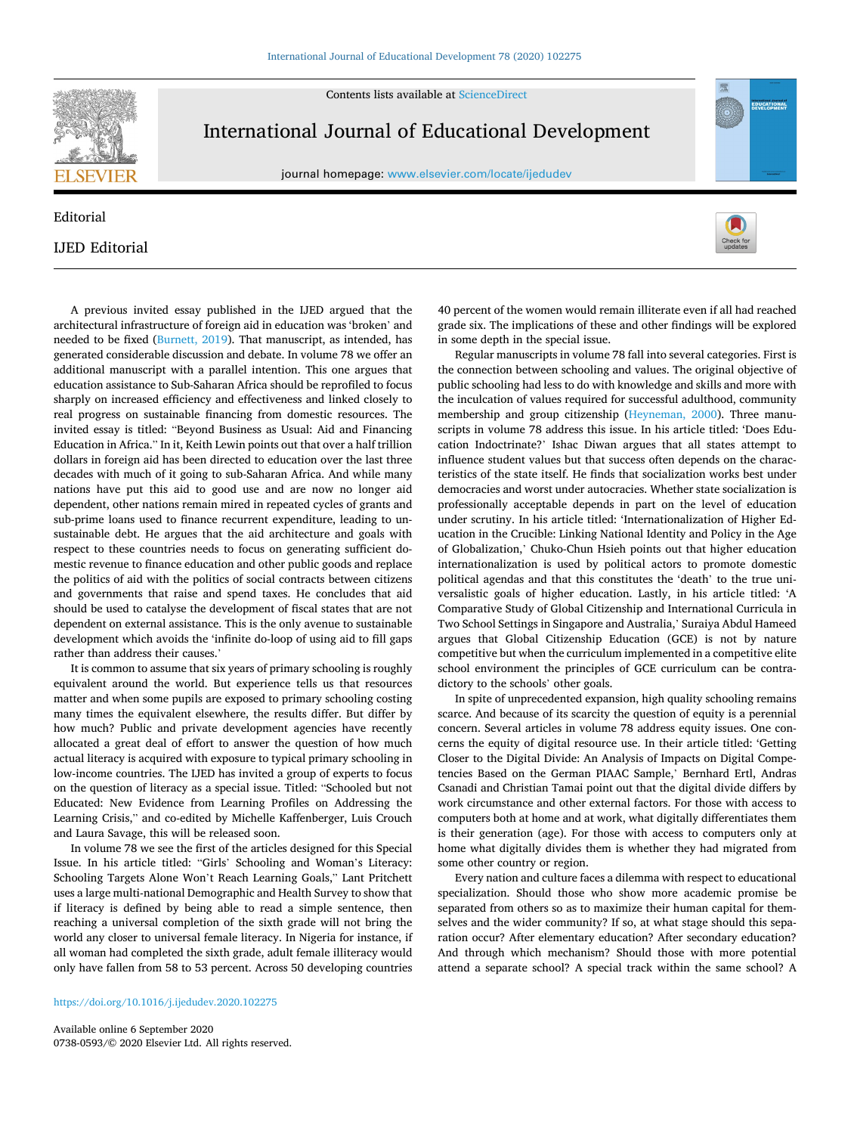Contents lists available at [ScienceDirect](www.sciencedirect.com/science/journal/07380593)



## International Journal of Educational Development

journal homepage: [www.elsevier.com/locate/ijedudev](https://www.elsevier.com/locate/ijedudev)

## Editorial IJED Editorial



It is common to assume that six years of primary schooling is roughly equivalent around the world. But experience tells us that resources matter and when some pupils are exposed to primary schooling costing many times the equivalent elsewhere, the results differ. But differ by how much? Public and private development agencies have recently allocated a great deal of effort to answer the question of how much actual literacy is acquired with exposure to typical primary schooling in low-income countries. The IJED has invited a group of experts to focus on the question of literacy as a special issue. Titled: "Schooled but not Educated: New Evidence from Learning Profiles on Addressing the Learning Crisis," and co-edited by Michelle Kaffenberger, Luis Crouch and Laura Savage, this will be released soon.

In volume 78 we see the first of the articles designed for this Special Issue. In his article titled: "Girls' Schooling and Woman's Literacy: Schooling Targets Alone Won't Reach Learning Goals," Lant Pritchett uses a large multi-national Demographic and Health Survey to show that if literacy is defined by being able to read a simple sentence, then reaching a universal completion of the sixth grade will not bring the world any closer to universal female literacy. In Nigeria for instance, if all woman had completed the sixth grade, adult female illiteracy would only have fallen from 58 to 53 percent. Across 50 developing countries

<https://doi.org/10.1016/j.ijedudev.2020.102275>

Available online 6 September 2020 0738-0593/© 2020 Elsevier Ltd. All rights reserved.

40 percent of the women would remain illiterate even if all had reached grade six. The implications of these and other findings will be explored in some depth in the special issue.

EDUCATIONA

Regular manuscripts in volume 78 fall into several categories. First is the connection between schooling and values. The original objective of public schooling had less to do with knowledge and skills and more with the inculcation of values required for successful adulthood, community membership and group citizenship [\(Heyneman, 2000](#page-1-0)). Three manuscripts in volume 78 address this issue. In his article titled: 'Does Education Indoctrinate?' Ishac Diwan argues that all states attempt to influence student values but that success often depends on the characteristics of the state itself. He finds that socialization works best under democracies and worst under autocracies. Whether state socialization is professionally acceptable depends in part on the level of education under scrutiny. In his article titled: 'Internationalization of Higher Education in the Crucible: Linking National Identity and Policy in the Age of Globalization,' Chuko-Chun Hsieh points out that higher education internationalization is used by political actors to promote domestic political agendas and that this constitutes the 'death' to the true universalistic goals of higher education. Lastly, in his article titled: 'A Comparative Study of Global Citizenship and International Curricula in Two School Settings in Singapore and Australia,' Suraiya Abdul Hameed argues that Global Citizenship Education (GCE) is not by nature competitive but when the curriculum implemented in a competitive elite school environment the principles of GCE curriculum can be contradictory to the schools' other goals.

In spite of unprecedented expansion, high quality schooling remains scarce. And because of its scarcity the question of equity is a perennial concern. Several articles in volume 78 address equity issues. One concerns the equity of digital resource use. In their article titled: 'Getting Closer to the Digital Divide: An Analysis of Impacts on Digital Competencies Based on the German PIAAC Sample,' Bernhard Ertl, Andras Csanadi and Christian Tamai point out that the digital divide differs by work circumstance and other external factors. For those with access to computers both at home and at work, what digitally differentiates them is their generation (age). For those with access to computers only at home what digitally divides them is whether they had migrated from some other country or region.

Every nation and culture faces a dilemma with respect to educational specialization. Should those who show more academic promise be separated from others so as to maximize their human capital for themselves and the wider community? If so, at what stage should this separation occur? After elementary education? After secondary education? And through which mechanism? Should those with more potential attend a separate school? A special track within the same school? A